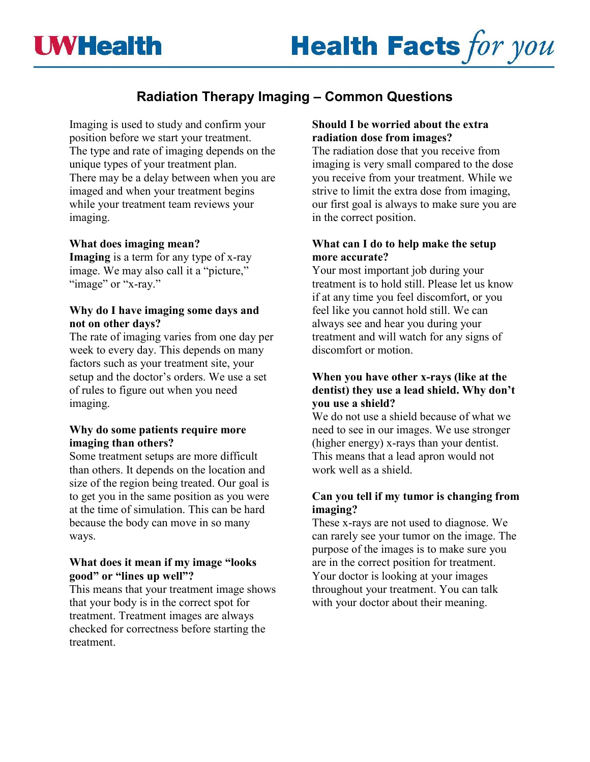# **Radiation Therapy Imaging – Common Questions**

Imaging is used to study and confirm your position before we start your treatment. The type and rate of imaging depends on the unique types of your treatment plan. There may be a delay between when you are imaged and when your treatment begins while your treatment team reviews your imaging.

## **What does imaging mean?**

**Imaging** is a term for any type of x-ray image. We may also call it a "picture," "image" or "x-ray."

# **Why do I have imaging some days and not on other days?**

The rate of imaging varies from one day per week to every day. This depends on many factors such as your treatment site, your setup and the doctor's orders. We use a set of rules to figure out when you need imaging.

## **Why do some patients require more imaging than others?**

Some treatment setups are more difficult than others. It depends on the location and size of the region being treated. Our goal is to get you in the same position as you were at the time of simulation. This can be hard because the body can move in so many ways.

## **What does it mean if my image "looks good" or "lines up well"?**

This means that your treatment image shows that your body is in the correct spot for treatment. Treatment images are always checked for correctness before starting the treatment.

## **Should I be worried about the extra radiation dose from images?**

The radiation dose that you receive from imaging is very small compared to the dose you receive from your treatment. While we strive to limit the extra dose from imaging, our first goal is always to make sure you are in the correct position.

## **What can I do to help make the setup more accurate?**

Your most important job during your treatment is to hold still. Please let us know if at any time you feel discomfort, or you feel like you cannot hold still. We can always see and hear you during your treatment and will watch for any signs of discomfort or motion.

#### **When you have other x-rays (like at the dentist) they use a lead shield. Why don't you use a shield?**

We do not use a shield because of what we need to see in our images. We use stronger (higher energy) x-rays than your dentist. This means that a lead apron would not work well as a shield.

## **Can you tell if my tumor is changing from imaging?**

These x-rays are not used to diagnose. We can rarely see your tumor on the image. The purpose of the images is to make sure you are in the correct position for treatment. Your doctor is looking at your images throughout your treatment. You can talk with your doctor about their meaning.